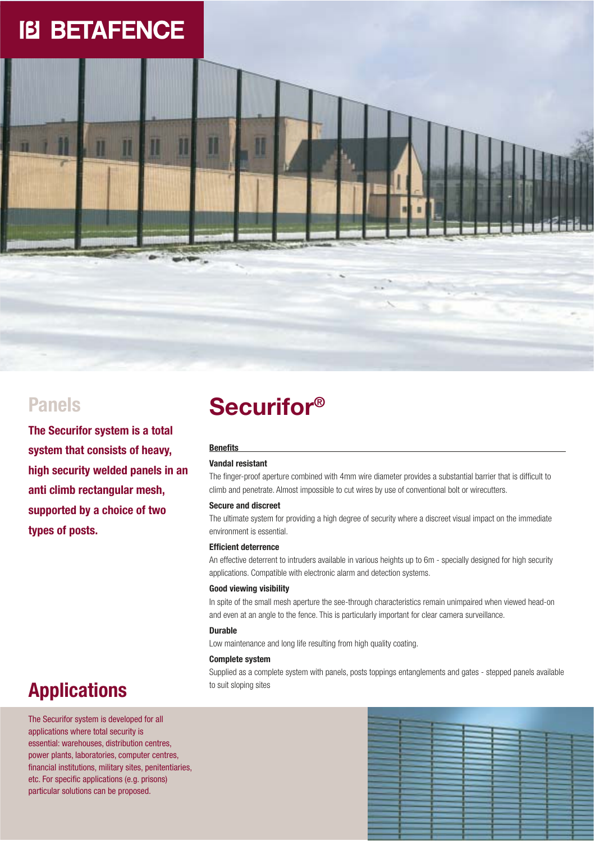# **IB BETAFENCE**

**The Securifor system is a total system that consists of heavy, high security welded panels in an anti climb rectangular mesh, supported by a choice of two types of posts.**

## **Securifor**<sup>®</sup>

### **Benefits**

### **Vandal resistant**

The finger-proof aperture combined with 4mm wire diameter provides a substantial barrier that is difficult to climb and penetrate. Almost impossible to cut wires by use of conventional bolt or wirecutters.

### **Secure and discreet**

The ultimate system for providing a high degree of security where a discreet visual impact on the immediate environment is essential.

### **Efficient deterrence**

An effective deterrent to intruders available in various heights up to 6m - specially designed for high security applications. Compatible with electronic alarm and detection systems.

### **Good viewing visibility**

In spite of the small mesh aperture the see-through characteristics remain unimpaired when viewed head-on and even at an angle to the fence. This is particularly important for clear camera surveillance.

### **Durable**

Low maintenance and long life resulting from high quality coating.

#### **Complete system**

Supplied as a complete system with panels, posts toppings entanglements and gates - stepped panels available to suit sloping sites

### **Applications**

The Securifor system is developed for all applications where total security is essential: warehouses, distribution centres, power plants, laboratories, computer centres, financial institutions, military sites, penitentiaries, etc. For specific applications (e.g. prisons) particular solutions can be proposed.